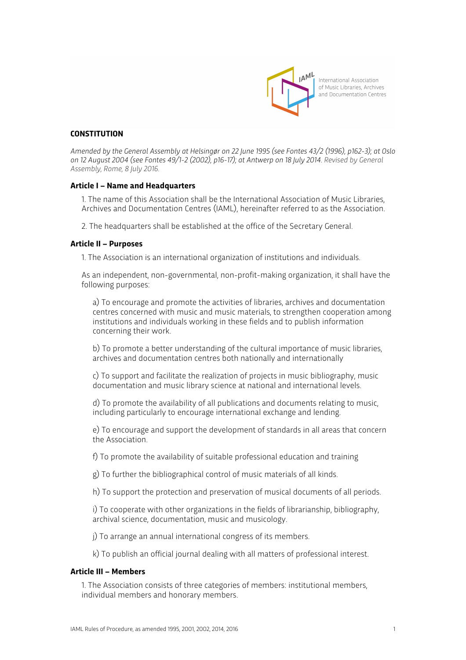

# **CONSTITUTION**

*Amended by the General Assembly at Helsingør on 22 June 1995 (see Fontes 43/2 (1996), p162-3); at Oslo on 12 August 2004 (see Fontes 49/1-2 (2002), p16-17); at Antwerp on 18 July 2014. Revised by General Assembly, Rome, 8 July 2016.*

### **Article I – Name and Headquarters**

1. The name of this Association shall be the International Association of Music Libraries, Archives and Documentation Centres (IAML), hereinafter referred to as the Association.

2. The headquarters shall be established at the office of the Secretary General.

### **Article II – Purposes**

1. The Association is an international organization of institutions and individuals.

As an independent, non-governmental, non-profit-making organization, it shall have the following purposes:

a) To encourage and promote the activities of libraries, archives and documentation centres concerned with music and music materials, to strengthen cooperation among institutions and individuals working in these fields and to publish information concerning their work.

b) To promote a better understanding of the cultural importance of music libraries, archives and documentation centres both nationally and internationally

c) To support and facilitate the realization of projects in music bibliography, music documentation and music library science at national and international levels.

d) To promote the availability of all publications and documents relating to music, including particularly to encourage international exchange and lending.

e) To encourage and support the development of standards in all areas that concern the Association.

f) To promote the availability of suitable professional education and training

g) To further the bibliographical control of music materials of all kinds.

h) To support the protection and preservation of musical documents of all periods.

i) To cooperate with other organizations in the fields of librarianship, bibliography, archival science, documentation, music and musicology.

j) To arrange an annual international congress of its members.

k) To publish an official journal dealing with all matters of professional interest.

# **Article III – Members**

1. The Association consists of three categories of members: institutional members, individual members and honorary members.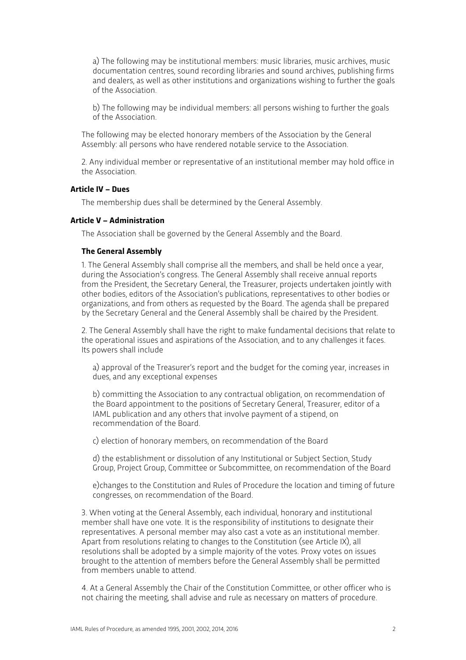a) The following may be institutional members: music libraries, music archives, music documentation centres, sound recording libraries and sound archives, publishing firms and dealers, as well as other institutions and organizations wishing to further the goals of the Association.

b) The following may be individual members: all persons wishing to further the goals of the Association.

The following may be elected honorary members of the Association by the General Assembly: all persons who have rendered notable service to the Association.

2. Any individual member or representative of an institutional member may hold office in the Association.

# **Article IV – Dues**

The membership dues shall be determined by the General Assembly.

# **Article V – Administration**

The Association shall be governed by the General Assembly and the Board.

#### **The General Assembly**

1. The General Assembly shall comprise all the members, and shall be held once a year, during the Association's congress. The General Assembly shall receive annual reports from the President, the Secretary General, the Treasurer, projects undertaken jointly with other bodies, editors of the Association's publications, representatives to other bodies or organizations, and from others as requested by the Board. The agenda shall be prepared by the Secretary General and the General Assembly shall be chaired by the President.

2. The General Assembly shall have the right to make fundamental decisions that relate to the operational issues and aspirations of the Association, and to any challenges it faces. Its powers shall include

a) approval of the Treasurer's report and the budget for the coming year, increases in dues, and any exceptional expenses

b) committing the Association to any contractual obligation, on recommendation of the Board appointment to the positions of Secretary General, Treasurer, editor of a IAML publication and any others that involve payment of a stipend, on recommendation of the Board.

c) election of honorary members, on recommendation of the Board

d) the establishment or dissolution of any Institutional or Subject Section, Study Group, Project Group, Committee or Subcommittee, on recommendation of the Board

e)changes to the Constitution and Rules of Procedure the location and timing of future congresses, on recommendation of the Board.

3. When voting at the General Assembly, each individual, honorary and institutional member shall have one vote. It is the responsibility of institutions to designate their representatives. A personal member may also cast a vote as an institutional member. Apart from resolutions relating to changes to the Constitution (see Article IX), all resolutions shall be adopted by a simple majority of the votes. Proxy votes on issues brought to the attention of members before the General Assembly shall be permitted from members unable to attend.

4. At a General Assembly the Chair of the Constitution Committee, or other officer who is not chairing the meeting, shall advise and rule as necessary on matters of procedure.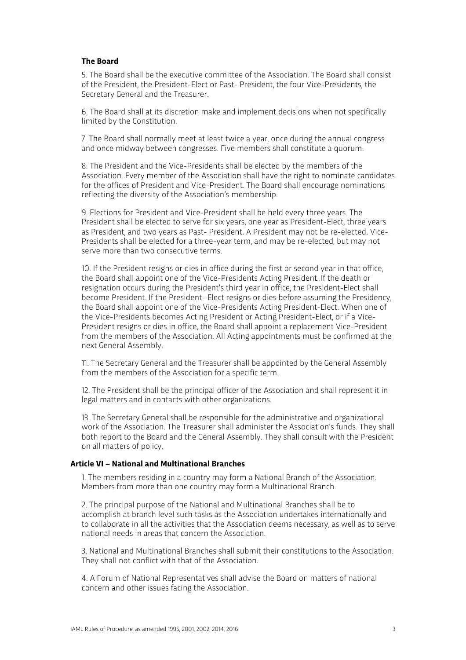# **The Board**

5. The Board shall be the executive committee of the Association. The Board shall consist of the President, the President-Elect or Past- President, the four Vice-Presidents, the Secretary General and the Treasurer.

6. The Board shall at its discretion make and implement decisions when not specifically limited by the Constitution.

7. The Board shall normally meet at least twice a year, once during the annual congress and once midway between congresses. Five members shall constitute a quorum.

8. The President and the Vice-Presidents shall be elected by the members of the Association. Every member of the Association shall have the right to nominate candidates for the offices of President and Vice-President. The Board shall encourage nominations reflecting the diversity of the Association's membership.

9. Elections for President and Vice-President shall be held every three years. The President shall be elected to serve for six years, one year as President-Elect, three years as President, and two years as Past- President. A President may not be re-elected. Vice-Presidents shall be elected for a three-year term, and may be re-elected, but may not serve more than two consecutive terms.

10. If the President resigns or dies in office during the first or second year in that office, the Board shall appoint one of the Vice-Presidents Acting President. If the death or resignation occurs during the President's third year in office, the President-Elect shall become President. If the President- Elect resigns or dies before assuming the Presidency, the Board shall appoint one of the Vice-Presidents Acting President-Elect. When one of the Vice-Presidents becomes Acting President or Acting President-Elect, or if a Vice-President resigns or dies in office, the Board shall appoint a replacement Vice-President from the members of the Association. All Acting appointments must be confirmed at the next General Assembly.

11. The Secretary General and the Treasurer shall be appointed by the General Assembly from the members of the Association for a specific term.

12. The President shall be the principal officer of the Association and shall represent it in legal matters and in contacts with other organizations.

13. The Secretary General shall be responsible for the administrative and organizational work of the Association. The Treasurer shall administer the Association's funds. They shall both report to the Board and the General Assembly. They shall consult with the President on all matters of policy.

#### **Article VI – National and Multinational Branches**

1. The members residing in a country may form a National Branch of the Association. Members from more than one country may form a Multinational Branch.

2. The principal purpose of the National and Multinational Branches shall be to accomplish at branch level such tasks as the Association undertakes internationally and to collaborate in all the activities that the Association deems necessary, as well as to serve national needs in areas that concern the Association.

3. National and Multinational Branches shall submit their constitutions to the Association. They shall not conflict with that of the Association.

4. A Forum of National Representatives shall advise the Board on matters of national concern and other issues facing the Association.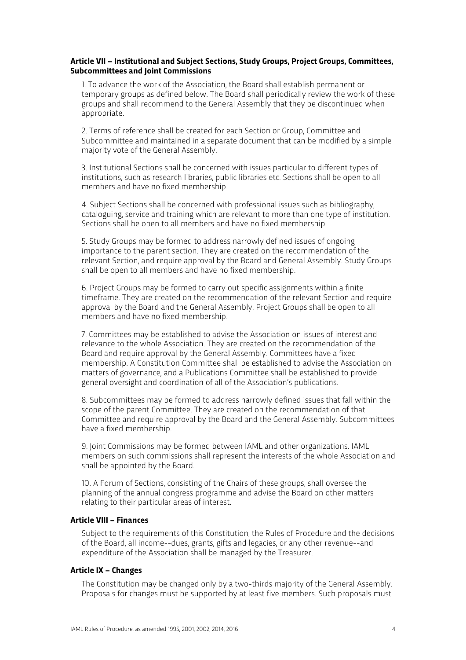## **Article VII – Institutional and Subject Sections, Study Groups, Project Groups, Committees, Subcommittees and Joint Commissions**

1. To advance the work of the Association, the Board shall establish permanent or temporary groups as defined below. The Board shall periodically review the work of these groups and shall recommend to the General Assembly that they be discontinued when appropriate.

2. Terms of reference shall be created for each Section or Group, Committee and Subcommittee and maintained in a separate document that can be modified by a simple majority vote of the General Assembly.

3. Institutional Sections shall be concerned with issues particular to different types of institutions, such as research libraries, public libraries etc. Sections shall be open to all members and have no fixed membership.

4. Subject Sections shall be concerned with professional issues such as bibliography, cataloguing, service and training which are relevant to more than one type of institution. Sections shall be open to all members and have no fixed membership.

5. Study Groups may be formed to address narrowly defined issues of ongoing importance to the parent section. They are created on the recommendation of the relevant Section, and require approval by the Board and General Assembly. Study Groups shall be open to all members and have no fixed membership.

6. Project Groups may be formed to carry out specific assignments within a finite timeframe. They are created on the recommendation of the relevant Section and require approval by the Board and the General Assembly. Project Groups shall be open to all members and have no fixed membership.

7. Committees may be established to advise the Association on issues of interest and relevance to the whole Association. They are created on the recommendation of the Board and require approval by the General Assembly. Committees have a fixed membership. A Constitution Committee shall be established to advise the Association on matters of governance, and a Publications Committee shall be established to provide general oversight and coordination of all of the Association's publications.

8. Subcommittees may be formed to address narrowly defined issues that fall within the scope of the parent Committee. They are created on the recommendation of that Committee and require approval by the Board and the General Assembly. Subcommittees have a fixed membership.

9. Joint Commissions may be formed between IAML and other organizations. IAML members on such commissions shall represent the interests of the whole Association and shall be appointed by the Board.

10. A Forum of Sections, consisting of the Chairs of these groups, shall oversee the planning of the annual congress programme and advise the Board on other matters relating to their particular areas of interest.

# **Article VIII – Finances**

Subject to the requirements of this Constitution, the Rules of Procedure and the decisions of the Board, all income--dues, grants, gifts and legacies, or any other revenue--and expenditure of the Association shall be managed by the Treasurer.

## **Article IX – Changes**

The Constitution may be changed only by a two-thirds majority of the General Assembly. Proposals for changes must be supported by at least five members. Such proposals must